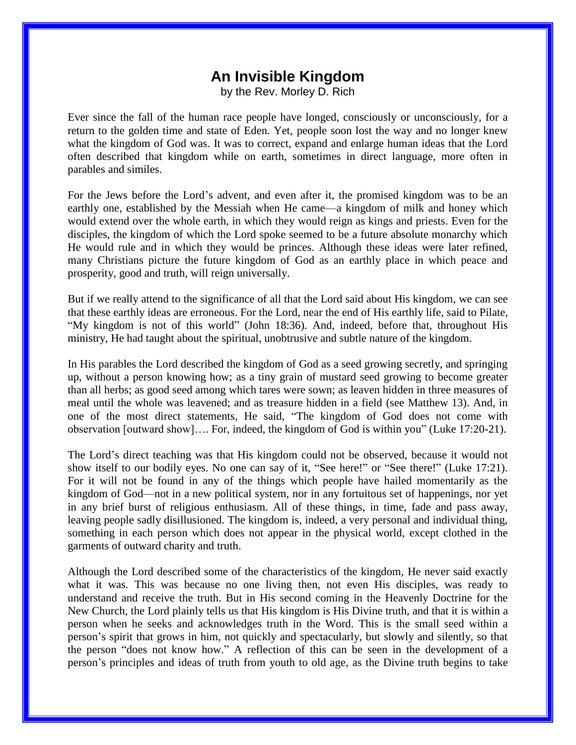## **An Invisible Kingdom**

by the Rev. Morley D. Rich

Ever since the fall of the human race people have longed, consciously or unconsciously, for a return to the golden time and state of Eden. Yet, people soon lost the way and no longer knew what the kingdom of God was. It was to correct, expand and enlarge human ideas that the Lord often described that kingdom while on earth, sometimes in direct language, more often in parables and similes.

For the Jews before the Lord's advent, and even after it, the promised kingdom was to be an earthly one, established by the Messiah when He came—a kingdom of milk and honey which would extend over the whole earth, in which they would reign as kings and priests. Even for the disciples, the kingdom of which the Lord spoke seemed to be a future absolute monarchy which He would rule and in which they would be princes. Although these ideas were later refined, many Christians picture the future kingdom of God as an earthly place in which peace and prosperity, good and truth, will reign universally.

But if we really attend to the significance of all that the Lord said about His kingdom, we can see that these earthly ideas are erroneous. For the Lord, near the end of His earthly life, said to Pilate, "My kingdom is not of this world" (John 18:36). And, indeed, before that, throughout His ministry, He had taught about the spiritual, unobtrusive and subtle nature of the kingdom.

In His parables the Lord described the kingdom of God as a seed growing secretly, and springing up, without a person knowing how; as a tiny grain of mustard seed growing to become greater than all herbs; as good seed among which tares were sown; as leaven hidden in three measures of meal until the whole was leavened; and as treasure hidden in a field (see Matthew 13). And, in one of the most direct statements, He said, "The kingdom of God does not come with observation [outward show]…. For, indeed, the kingdom of God is within you" (Luke 17:20-21).

The Lord's direct teaching was that His kingdom could not be observed, because it would not show itself to our bodily eyes. No one can say of it, "See here!" or "See there!" (Luke 17:21). For it will not be found in any of the things which people have hailed momentarily as the kingdom of God—not in a new political system, nor in any fortuitous set of happenings, nor yet in any brief burst of religious enthusiasm. All of these things, in time, fade and pass away, leaving people sadly disillusioned. The kingdom is, indeed, a very personal and individual thing, something in each person which does not appear in the physical world, except clothed in the garments of outward charity and truth.

Although the Lord described some of the characteristics of the kingdom, He never said exactly what it was. This was because no one living then, not even His disciples, was ready to understand and receive the truth. But in His second coming in the Heavenly Doctrine for the New Church, the Lord plainly tells us that His kingdom is His Divine truth, and that it is within a person when he seeks and acknowledges truth in the Word. This is the small seed within a person's spirit that grows in him, not quickly and spectacularly, but slowly and silently, so that the person "does not know how." A reflection of this can be seen in the development of a person's principles and ideas of truth from youth to old age, as the Divine truth begins to take